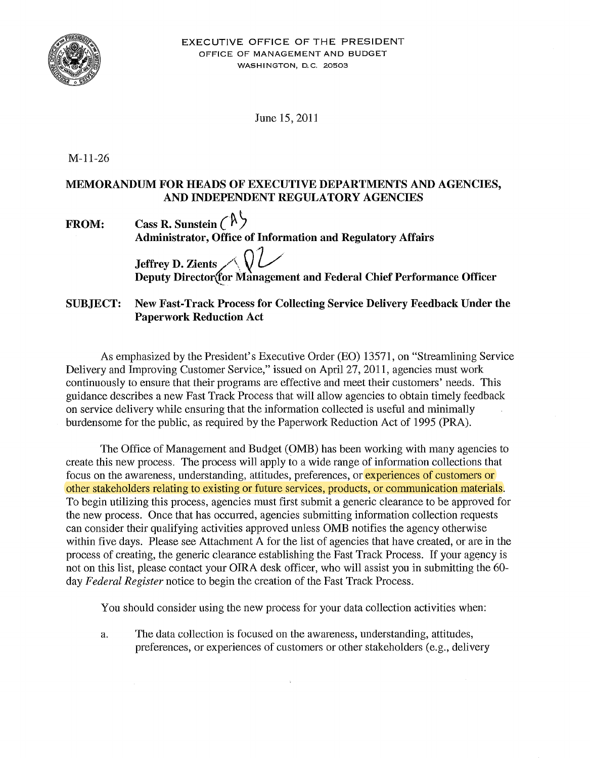

June 15, 2011

M-11-26

## MEMORANDUM FOR HEADS OF EXECUTIVE DEPARTMENTS AND AGENCIES, AND INDEPENDENT REGULATORY AGENCIES

| <b>FROM:</b> | Cass R. Sunstein $(\mathbb{A})$                                    |  |
|--------------|--------------------------------------------------------------------|--|
|              | <b>Administrator, Office of Information and Regulatory Affairs</b> |  |
|              |                                                                    |  |
|              | Jeffrey D. Zients $\bigwedge$                                      |  |

Deputy Director(for Management and Federal Chief Performance Officer

## SUBJECT: New Fast-Track Process for Collecting Service Delivery Feedback Under the Paperwork Reduction Act

As emphasized by the President's Executive Order (EO) 13571, on "Streamlining Service Delivery and Improving Customer Service," issued on April27, 2011, agencies must work continuously to ensure that their programs are effective and meet their customers' needs. This guidance describes a new Fast Track Process that will allow agencies to obtain timely feedback on service delivery while ensuring that the information collected is useful and minimally burdensome for the public, as required by the Paperwork Reduction Act of 1995 (PRA).

The Office of Management and Budget (OMB) has been working with many agencies to create this new process. The process will apply to a wide range of information collections that focus on the awareness, understanding, attitudes, preferences, or experiences of customers or other stakeholders relating to existing or future services, products, or communication materials. To begin utilizing this process, agencies must first submit a generic clearance to be approved for the new process. Once that has occurred, agencies submitting information collection requests can consider their qualifying activities approved unless OMB notifies the agency otherwise within five days. Please see Attachment A for the list of agencies that have created, or are in the process of creating, the generic clearance establishing the Fast Track Process. If your agency is not on this list, please contact your OIRA desk officer, who will assist you in submitting the 60 day *Federal Register* notice to begin the creation of the Fast Track Process.

You should consider using the new process for your data collection activities when:

a. The data collection is focused on the awareness, understanding, attitudes, preferences, or experiences of customers or other stakeholders (e.g., delivery

 $\bar{\mathbf{z}}$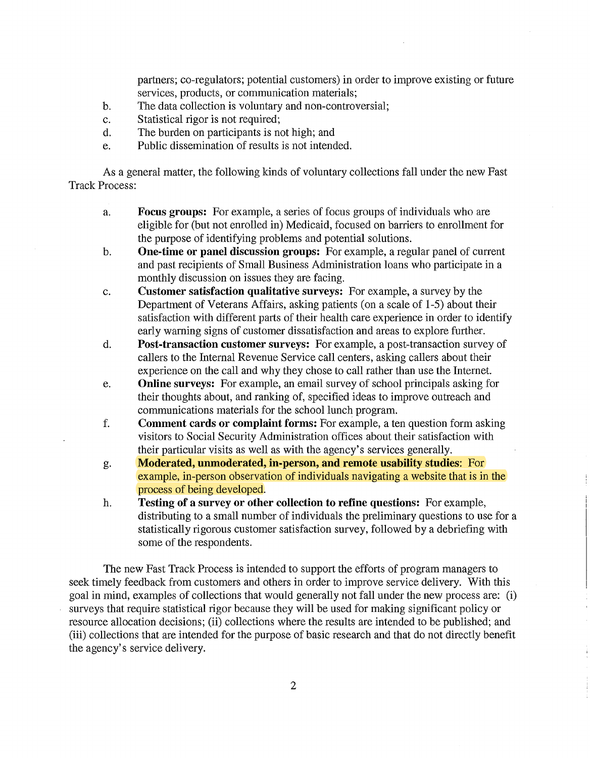partners; co-regulators; potential customers) in order to improve existing or future services, products, or communication materials;

- b. The data collection is voluntary and non-controversial;
- c. Statistical rigor is not required;
- d. The burden on participants is not high; and
- e. Public dissemination of results is not intended.

As a general matter, the following kinds of voluntary collections fall under the new Fast Track Process:

- a. Focus groups: For example, a series of focus groups of individuals who are eligible for (but not enrolled in) Medicaid, focused on barriers to enrollment for the purpose of identifying problems and potential solutions.
- b. One-time or panel discussion groups: For example, a regular panel of current and past recipients of Small Business Administration loans who participate in a monthly discussion on issues they are facing.
- c. Customer satisfaction qualitative surveys: For example, a survey by the Department of Veterans Affairs, asking patients (on a scale of 1-5) about their satisfaction with different parts of their health care experience in order to identify early warning signs of customer dissatisfaction and areas to explore further.
- d. Post-transaction customer surveys: For example, a post-transaction survey of callers to the Internal Revenue Service call centers, asking callers about their experience on the call and why they chose to call rather than use the Internet.
- e. Online surveys: For example, an email survey of school principals asking for their thoughts about, and ranking of, specified ideas to improve outreach and communications materials for the school lunch program.
- f. Comment cards or complaint forms: For example, a ten question form asking visitors to Social Security Administration offices about their satisfaction with their particular visits as well as with the agency's services generally.
- g. Moderated, unmoderated, in-person, and remote usability studies: For example, in-person observation of individuals navigating a website that is in the process of being developed.
- h. Testing of a survey or other collection to refine questions: For example, distributing to a small number of individuals the preliminary questions to use for a statistically rigorous customer satisfaction survey, followed by a debriefing with some of the respondents.

The new Fast Track Process is intended to support the efforts of program managers to seek timely feedback from customers and others in order to improve service delivery. With this goal in mind, examples of collections that would generally not fall under the new process are: (i) surveys that require statistical rigor because they will be used for making significant policy or resource allocation decisions; (ii) collections where the results are intended to be published; and (iii) collections that are intended for the purpose of basic research and that do not directly benefit the agency's service delivery.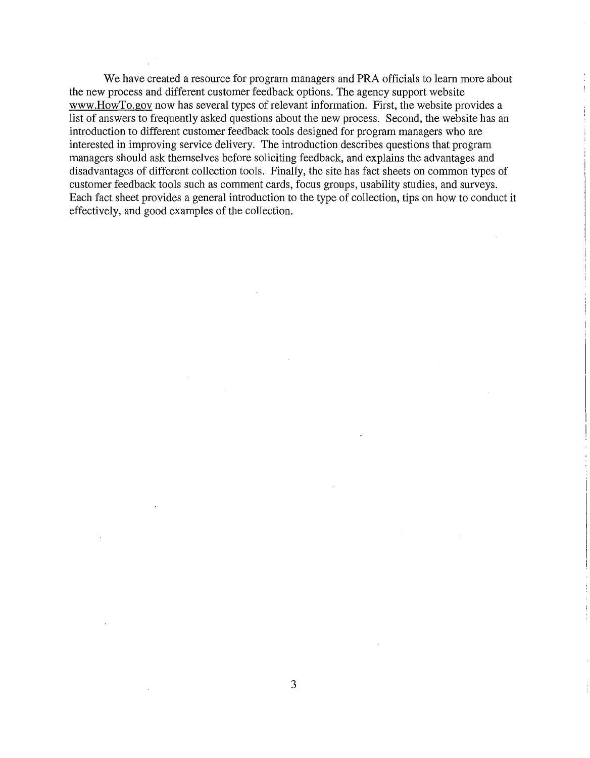We have created a resource for program managers and PRA officials to learn more about the new process and different customer feedback options. The agency support website www.HowTo.gov now has several types of relevant information. First, the website provides a list of answers to frequently asked questions about the new process. Second, the website has an introduction to different customer feedback tools designed for program managers who are interested in improving service delivery. The introduction describes questions that program managers should ask themselves before soliciting feedback, and explains the advantages and disadvantages of different collection tools. Finally, the site has fact sheets on common types of customer feedback tools such as comment cards, focus groups, usability studies, and surveys. Each fact sheet provides a general introduction to the type of collection, tips on how to conduct it effectively, and good examples of the collection.